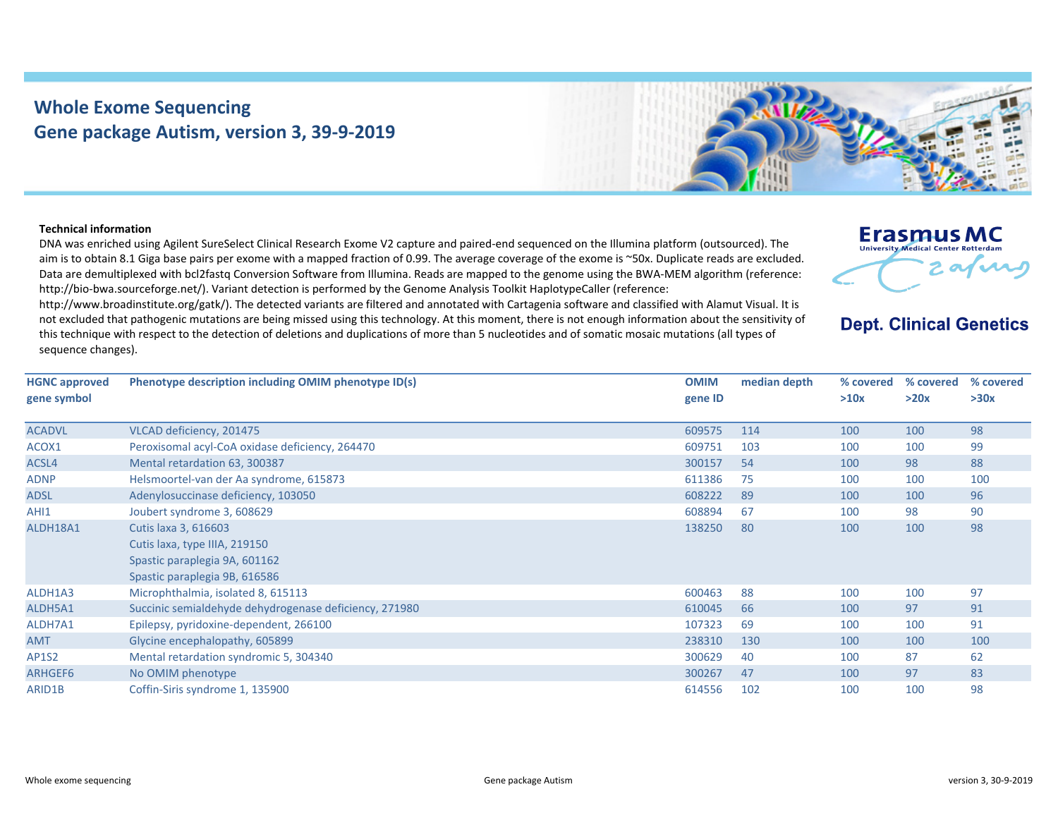## **Whole Exome Sequencing Gene package Autism, version 3, 39‐9‐2019**



## **Technical information**

DNA was enriched using Agilent SureSelect Clinical Research Exome V2 capture and paired‐end sequenced on the Illumina platform (outsourced). The aim is to obtain 8.1 Giga base pairs per exome with a mapped fraction of 0.99. The average coverage of the exome is ~50x. Duplicate reads are excluded. Data are demultiplexed with bcl2fastq Conversion Software from Illumina. Reads are mapped to the genome using the BWA-MEM algorithm (reference: http://bio‐bwa.sourceforge.net/). Variant detection is performed by the Genome Analysis Toolkit HaplotypeCaller (reference:

http://www.broadinstitute.org/gatk/). The detected variants are filtered and annotated with Cartagenia software and classified with Alamut Visual. It is not excluded that pathogenic mutations are being missed using this technology. At this moment, there is not enough information about the sensitivity of this technique with respect to the detection of deletions and duplications of more than 5 nucleotides and of somatic mosaic mutations (all types of sequence changes).

| <b>Erasmus MC</b><br><b>University Medical Center Rotterdam</b> |         |  |
|-----------------------------------------------------------------|---------|--|
|                                                                 | $:$ and |  |

## **Dept. Clinical Genetics**

| <b>HGNC approved</b><br>gene symbol | Phenotype description including OMIM phenotype ID(s)                                                                    | <b>OMIM</b><br>gene ID | median depth | % covered<br>>10x | % covered<br>>20x | % covered<br>>30x |
|-------------------------------------|-------------------------------------------------------------------------------------------------------------------------|------------------------|--------------|-------------------|-------------------|-------------------|
| <b>ACADVL</b>                       | VLCAD deficiency, 201475                                                                                                | 609575                 | 114          | 100               | 100               | 98                |
| ACOX1                               | Peroxisomal acyl-CoA oxidase deficiency, 264470                                                                         | 609751                 | 103          | 100               | 100               | 99                |
| ACSL4                               | Mental retardation 63, 300387                                                                                           | 300157                 | 54           | 100               | 98                | 88                |
| <b>ADNP</b>                         | Helsmoortel-van der Aa syndrome, 615873                                                                                 | 611386                 | 75           | 100               | 100               | 100               |
| <b>ADSL</b>                         | Adenylosuccinase deficiency, 103050                                                                                     | 608222                 | 89           | 100               | 100               | 96                |
| AHI1                                | Joubert syndrome 3, 608629                                                                                              | 608894                 | 67           | 100               | 98                | 90                |
| ALDH18A1                            | Cutis laxa 3, 616603<br>Cutis laxa, type IIIA, 219150<br>Spastic paraplegia 9A, 601162<br>Spastic paraplegia 9B, 616586 | 138250                 | 80           | 100               | 100               | 98                |
| ALDH1A3                             | Microphthalmia, isolated 8, 615113                                                                                      | 600463                 | 88           | 100               | 100               | 97                |
| ALDH5A1                             | Succinic semialdehyde dehydrogenase deficiency, 271980                                                                  | 610045                 | 66           | 100               | 97                | 91                |
| ALDH7A1                             | Epilepsy, pyridoxine-dependent, 266100                                                                                  | 107323                 | 69           | 100               | 100               | 91                |
| <b>AMT</b>                          | Glycine encephalopathy, 605899                                                                                          | 238310                 | 130          | 100               | 100               | 100               |
| <b>AP1S2</b>                        | Mental retardation syndromic 5, 304340                                                                                  | 300629                 | 40           | 100               | 87                | 62                |
| ARHGEF6                             | No OMIM phenotype                                                                                                       | 300267                 | 47           | 100               | 97                | 83                |
| ARID1B                              | Coffin-Siris syndrome 1, 135900                                                                                         | 614556                 | 102          | 100               | 100               | 98                |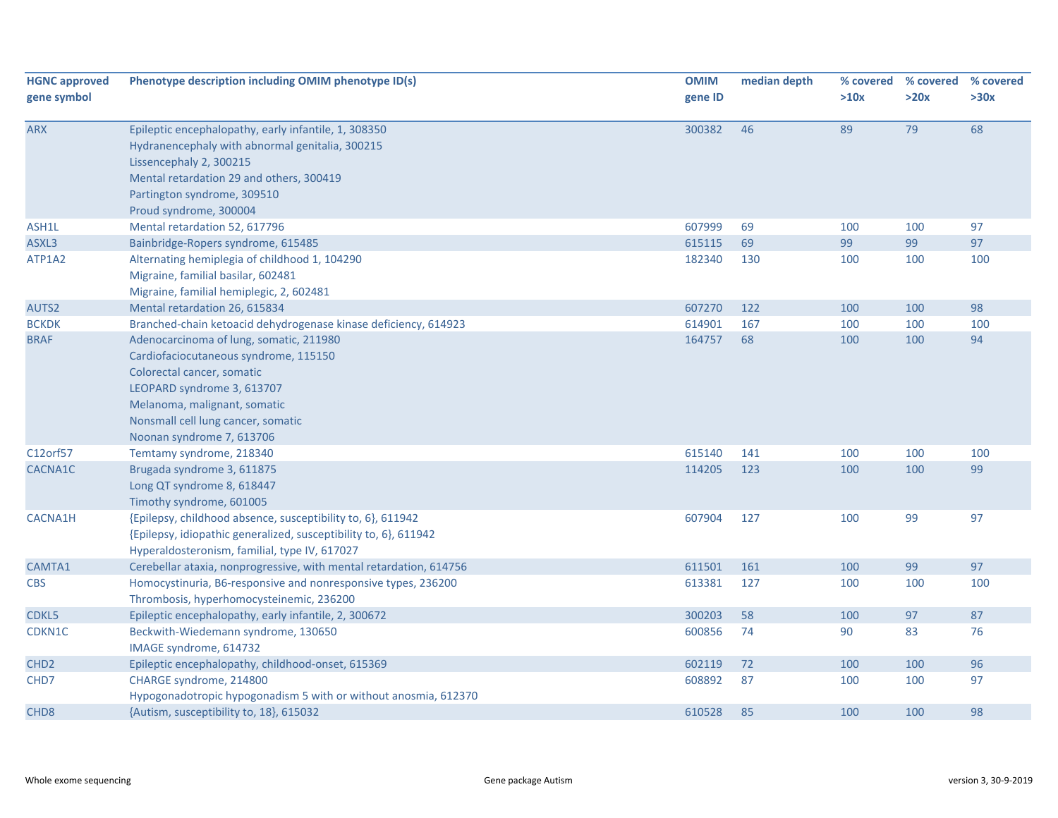| <b>HGNC approved</b> | Phenotype description including OMIM phenotype ID(s)                                                                                                                                                                                            | <b>OMIM</b> | median depth |      | % covered % covered | % covered |
|----------------------|-------------------------------------------------------------------------------------------------------------------------------------------------------------------------------------------------------------------------------------------------|-------------|--------------|------|---------------------|-----------|
| gene symbol          |                                                                                                                                                                                                                                                 | gene ID     |              | >10x | >20x                | >30x      |
| <b>ARX</b>           | Epileptic encephalopathy, early infantile, 1, 308350<br>Hydranencephaly with abnormal genitalia, 300215<br>Lissencephaly 2, 300215<br>Mental retardation 29 and others, 300419<br>Partington syndrome, 309510<br>Proud syndrome, 300004         | 300382      | 46           | 89   | 79                  | 68        |
| ASH1L                | Mental retardation 52, 617796                                                                                                                                                                                                                   | 607999      | 69           | 100  | 100                 | 97        |
| ASXL3                | Bainbridge-Ropers syndrome, 615485                                                                                                                                                                                                              | 615115      | 69           | 99   | 99                  | 97        |
| ATP1A2               | Alternating hemiplegia of childhood 1, 104290<br>Migraine, familial basilar, 602481<br>Migraine, familial hemiplegic, 2, 602481                                                                                                                 | 182340      | 130          | 100  | 100                 | 100       |
| AUTS2                | Mental retardation 26, 615834                                                                                                                                                                                                                   | 607270      | 122          | 100  | 100                 | 98        |
| <b>BCKDK</b>         | Branched-chain ketoacid dehydrogenase kinase deficiency, 614923                                                                                                                                                                                 | 614901      | 167          | 100  | 100                 | 100       |
| <b>BRAF</b>          | Adenocarcinoma of lung, somatic, 211980<br>Cardiofaciocutaneous syndrome, 115150<br>Colorectal cancer, somatic<br>LEOPARD syndrome 3, 613707<br>Melanoma, malignant, somatic<br>Nonsmall cell lung cancer, somatic<br>Noonan syndrome 7, 613706 | 164757      | 68           | 100  | 100                 | 94        |
| C12orf57             | Temtamy syndrome, 218340                                                                                                                                                                                                                        | 615140      | 141          | 100  | 100                 | 100       |
| CACNA1C              | Brugada syndrome 3, 611875<br>Long QT syndrome 8, 618447<br>Timothy syndrome, 601005                                                                                                                                                            | 114205      | 123          | 100  | 100                 | 99        |
| <b>CACNA1H</b>       | {Epilepsy, childhood absence, susceptibility to, 6}, 611942<br>{Epilepsy, idiopathic generalized, susceptibility to, 6}, 611942<br>Hyperaldosteronism, familial, type IV, 617027                                                                | 607904      | 127          | 100  | 99                  | 97        |
| CAMTA1               | Cerebellar ataxia, nonprogressive, with mental retardation, 614756                                                                                                                                                                              | 611501      | 161          | 100  | 99                  | 97        |
| <b>CBS</b>           | Homocystinuria, B6-responsive and nonresponsive types, 236200<br>Thrombosis, hyperhomocysteinemic, 236200                                                                                                                                       | 613381      | 127          | 100  | 100                 | 100       |
| CDKL5                | Epileptic encephalopathy, early infantile, 2, 300672                                                                                                                                                                                            | 300203      | 58           | 100  | 97                  | 87        |
| CDKN1C               | Beckwith-Wiedemann syndrome, 130650<br>IMAGE syndrome, 614732                                                                                                                                                                                   | 600856      | 74           | 90   | 83                  | 76        |
| CHD <sub>2</sub>     | Epileptic encephalopathy, childhood-onset, 615369                                                                                                                                                                                               | 602119      | 72           | 100  | 100                 | 96        |
| CHD7                 | CHARGE syndrome, 214800<br>Hypogonadotropic hypogonadism 5 with or without anosmia, 612370                                                                                                                                                      | 608892      | 87           | 100  | 100                 | 97        |
| CHD <sub>8</sub>     | {Autism, susceptibility to, 18}, 615032                                                                                                                                                                                                         | 610528      | 85           | 100  | 100                 | 98        |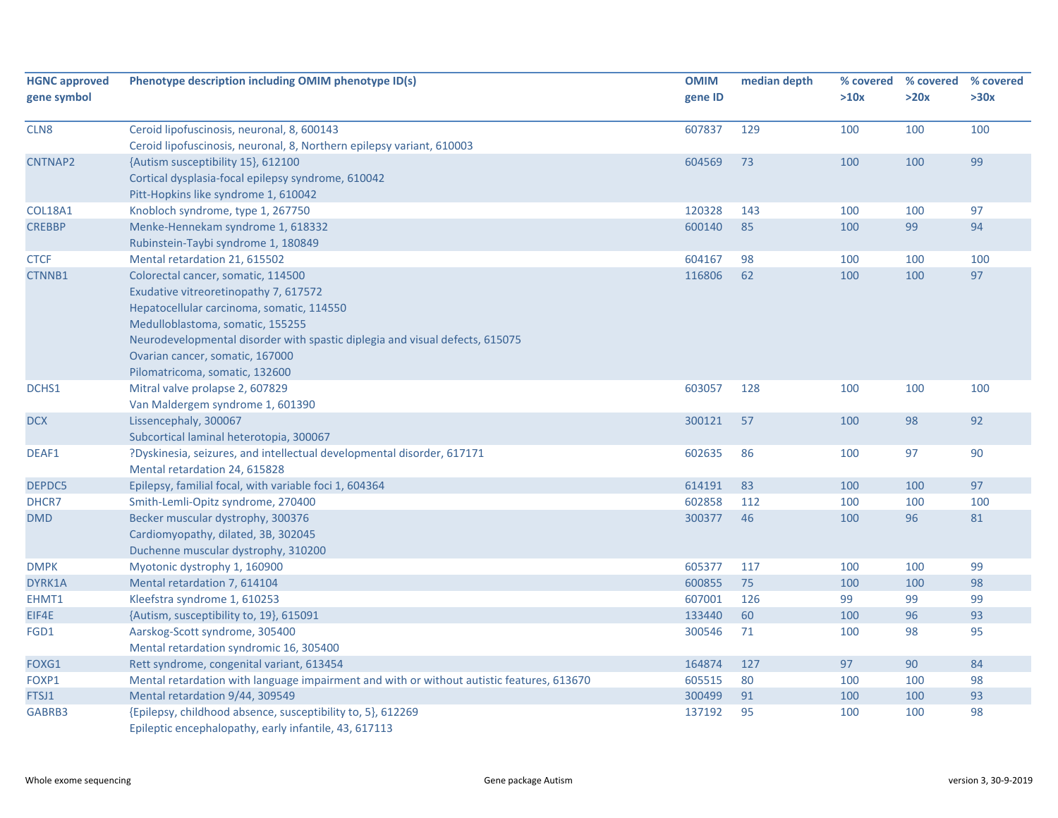| <b>HGNC approved</b><br>gene symbol | Phenotype description including OMIM phenotype ID(s)                                      | <b>OMIM</b><br>gene ID | median depth | >10x | % covered % covered<br>>20x | % covered<br>>30x |
|-------------------------------------|-------------------------------------------------------------------------------------------|------------------------|--------------|------|-----------------------------|-------------------|
| CLN8                                | Ceroid lipofuscinosis, neuronal, 8, 600143                                                | 607837                 | 129          | 100  | 100                         | 100               |
|                                     | Ceroid lipofuscinosis, neuronal, 8, Northern epilepsy variant, 610003                     |                        |              |      |                             |                   |
| CNTNAP2                             | {Autism susceptibility 15}, 612100                                                        | 604569                 | 73           | 100  | 100                         | 99                |
|                                     | Cortical dysplasia-focal epilepsy syndrome, 610042                                        |                        |              |      |                             |                   |
|                                     | Pitt-Hopkins like syndrome 1, 610042                                                      |                        |              |      |                             |                   |
| <b>COL18A1</b>                      | Knobloch syndrome, type 1, 267750                                                         | 120328                 | 143          | 100  | 100                         | 97                |
| <b>CREBBP</b>                       | Menke-Hennekam syndrome 1, 618332                                                         | 600140                 | 85           | 100  | 99                          | 94                |
|                                     | Rubinstein-Taybi syndrome 1, 180849                                                       |                        |              |      |                             |                   |
| <b>CTCF</b>                         | Mental retardation 21, 615502                                                             | 604167                 | 98           | 100  | 100                         | 100               |
| CTNNB1                              | Colorectal cancer, somatic, 114500                                                        | 116806                 | 62           | 100  | 100                         | 97                |
|                                     | Exudative vitreoretinopathy 7, 617572                                                     |                        |              |      |                             |                   |
|                                     | Hepatocellular carcinoma, somatic, 114550                                                 |                        |              |      |                             |                   |
|                                     | Medulloblastoma, somatic, 155255                                                          |                        |              |      |                             |                   |
|                                     | Neurodevelopmental disorder with spastic diplegia and visual defects, 615075              |                        |              |      |                             |                   |
|                                     | Ovarian cancer, somatic, 167000                                                           |                        |              |      |                             |                   |
|                                     | Pilomatricoma, somatic, 132600                                                            |                        |              |      |                             |                   |
| DCHS1                               | Mitral valve prolapse 2, 607829                                                           | 603057                 | 128          | 100  | 100                         | 100               |
|                                     | Van Maldergem syndrome 1, 601390                                                          |                        |              |      |                             |                   |
| <b>DCX</b>                          | Lissencephaly, 300067                                                                     | 300121                 | 57           | 100  | 98                          | 92                |
|                                     | Subcortical laminal heterotopia, 300067                                                   |                        |              |      |                             |                   |
| DEAF1                               | ?Dyskinesia, seizures, and intellectual developmental disorder, 617171                    | 602635                 | 86           | 100  | 97                          | 90                |
|                                     | Mental retardation 24, 615828                                                             |                        |              |      |                             |                   |
| DEPDC5                              | Epilepsy, familial focal, with variable foci 1, 604364                                    | 614191                 | 83           | 100  | 100                         | 97                |
| DHCR7                               | Smith-Lemli-Opitz syndrome, 270400                                                        | 602858                 | 112          | 100  | 100                         | 100               |
| <b>DMD</b>                          | Becker muscular dystrophy, 300376                                                         | 300377                 | 46           | 100  | 96                          | 81                |
|                                     | Cardiomyopathy, dilated, 3B, 302045                                                       |                        |              |      |                             |                   |
|                                     | Duchenne muscular dystrophy, 310200                                                       |                        |              |      |                             |                   |
| <b>DMPK</b>                         | Myotonic dystrophy 1, 160900                                                              | 605377                 | 117          | 100  | 100                         | 99                |
| DYRK1A                              | Mental retardation 7, 614104                                                              | 600855                 | 75           | 100  | 100                         | 98                |
| EHMT1                               | Kleefstra syndrome 1, 610253                                                              | 607001                 | 126          | 99   | 99                          | 99                |
| EIF4E                               | {Autism, susceptibility to, 19}, 615091                                                   | 133440                 | 60           | 100  | 96                          | 93                |
| FGD1                                | Aarskog-Scott syndrome, 305400                                                            | 300546                 | 71           | 100  | 98                          | 95                |
|                                     | Mental retardation syndromic 16, 305400                                                   |                        |              |      |                             |                   |
| FOXG1                               | Rett syndrome, congenital variant, 613454                                                 | 164874                 | 127          | 97   | 90                          | 84                |
| FOXP1                               | Mental retardation with language impairment and with or without autistic features, 613670 | 605515                 | 80           | 100  | 100                         | 98                |
| FTSJ1                               | Mental retardation 9/44, 309549                                                           | 300499                 | 91           | 100  | 100                         | 93                |
| GABRB3                              | {Epilepsy, childhood absence, susceptibility to, 5}, 612269                               | 137192                 | 95           | 100  | 100                         | 98                |
|                                     | Epileptic encephalopathy, early infantile, 43, 617113                                     |                        |              |      |                             |                   |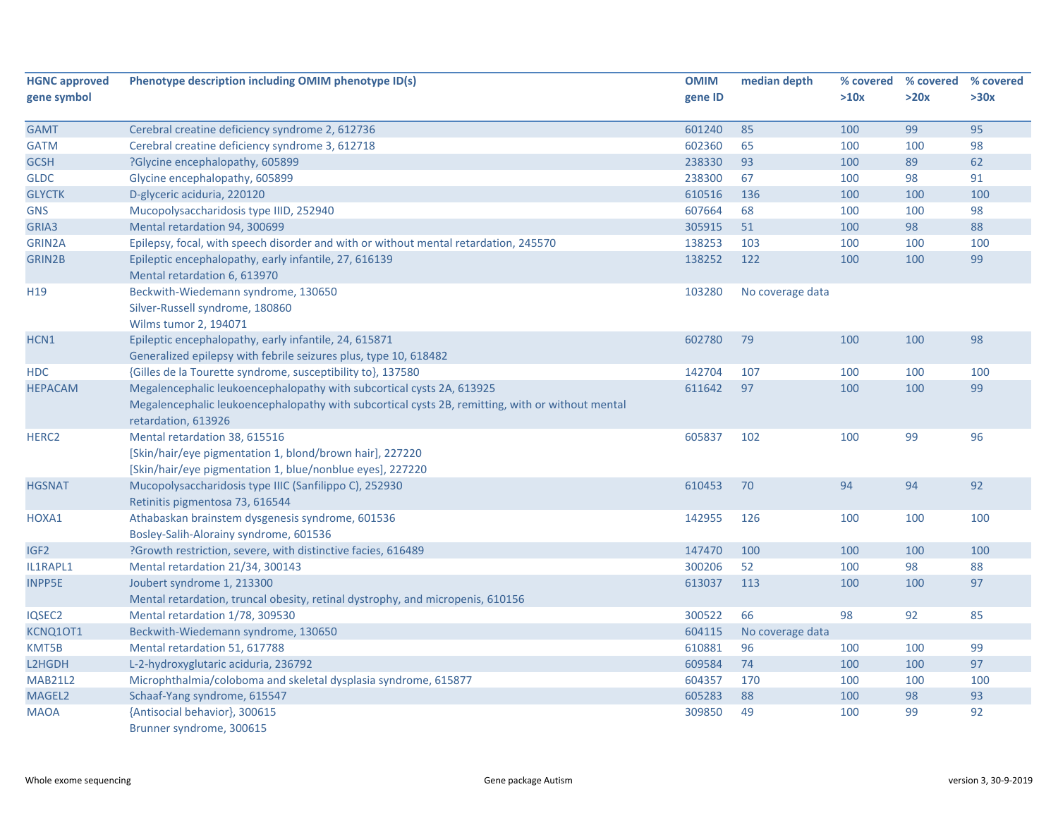| <b>HGNC approved</b> | Phenotype description including OMIM phenotype ID(s)                                             | <b>OMIM</b> | median depth     |      | % covered % covered | % covered |
|----------------------|--------------------------------------------------------------------------------------------------|-------------|------------------|------|---------------------|-----------|
| gene symbol          |                                                                                                  | gene ID     |                  | >10x | >20x                | >30x      |
| <b>GAMT</b>          | Cerebral creatine deficiency syndrome 2, 612736                                                  | 601240      | 85               | 100  | 99                  | 95        |
| <b>GATM</b>          | Cerebral creatine deficiency syndrome 3, 612718                                                  | 602360      | 65               | 100  | 100                 | 98        |
| <b>GCSH</b>          | ?Glycine encephalopathy, 605899                                                                  | 238330      | 93               | 100  | 89                  | 62        |
| <b>GLDC</b>          | Glycine encephalopathy, 605899                                                                   | 238300      | 67               | 100  | 98                  | 91        |
| <b>GLYCTK</b>        | D-glyceric aciduria, 220120                                                                      | 610516      | 136              | 100  | 100                 | 100       |
| <b>GNS</b>           | Mucopolysaccharidosis type IIID, 252940                                                          | 607664      | 68               | 100  | 100                 | 98        |
| GRIA3                | Mental retardation 94, 300699                                                                    | 305915      | 51               | 100  | 98                  | 88        |
| <b>GRIN2A</b>        | Epilepsy, focal, with speech disorder and with or without mental retardation, 245570             | 138253      | 103              | 100  | 100                 | 100       |
| <b>GRIN2B</b>        | Epileptic encephalopathy, early infantile, 27, 616139                                            | 138252      | 122              | 100  | 100                 | 99        |
|                      | Mental retardation 6, 613970                                                                     |             |                  |      |                     |           |
| H <sub>19</sub>      | Beckwith-Wiedemann syndrome, 130650                                                              | 103280      | No coverage data |      |                     |           |
|                      | Silver-Russell syndrome, 180860                                                                  |             |                  |      |                     |           |
|                      | Wilms tumor 2, 194071                                                                            |             |                  |      |                     |           |
| HCN1                 | Epileptic encephalopathy, early infantile, 24, 615871                                            | 602780      | 79               | 100  | 100                 | 98        |
|                      | Generalized epilepsy with febrile seizures plus, type 10, 618482                                 |             |                  |      |                     |           |
| <b>HDC</b>           | {Gilles de la Tourette syndrome, susceptibility to}, 137580                                      | 142704      | 107              | 100  | 100                 | 100       |
| <b>HEPACAM</b>       | Megalencephalic leukoencephalopathy with subcortical cysts 2A, 613925                            | 611642      | 97               | 100  | 100                 | 99        |
|                      | Megalencephalic leukoencephalopathy with subcortical cysts 2B, remitting, with or without mental |             |                  |      |                     |           |
|                      | retardation, 613926                                                                              |             |                  |      |                     |           |
| HERC <sub>2</sub>    | Mental retardation 38, 615516                                                                    | 605837      | 102              | 100  | 99                  | 96        |
|                      | [Skin/hair/eye pigmentation 1, blond/brown hair], 227220                                         |             |                  |      |                     |           |
|                      | [Skin/hair/eye pigmentation 1, blue/nonblue eyes], 227220                                        |             |                  |      |                     |           |
| <b>HGSNAT</b>        | Mucopolysaccharidosis type IIIC (Sanfilippo C), 252930                                           | 610453      | 70               | 94   | 94                  | 92        |
|                      | Retinitis pigmentosa 73, 616544                                                                  |             |                  |      |                     |           |
| HOXA1                | Athabaskan brainstem dysgenesis syndrome, 601536                                                 | 142955      | 126              | 100  | 100                 | 100       |
|                      | Bosley-Salih-Alorainy syndrome, 601536                                                           |             |                  |      |                     |           |
| IGF <sub>2</sub>     | ?Growth restriction, severe, with distinctive facies, 616489                                     | 147470      | 100              | 100  | 100                 | 100       |
| IL1RAPL1             | Mental retardation 21/34, 300143                                                                 | 300206      | 52               | 100  | 98                  | 88        |
| <b>INPP5E</b>        | Joubert syndrome 1, 213300                                                                       | 613037      | 113              | 100  | 100                 | 97        |
|                      | Mental retardation, truncal obesity, retinal dystrophy, and micropenis, 610156                   |             |                  |      |                     |           |
| IQSEC2               | Mental retardation 1/78, 309530                                                                  | 300522      | 66               | 98   | 92                  | 85        |
| KCNQ10T1             | Beckwith-Wiedemann syndrome, 130650                                                              | 604115      | No coverage data |      |                     |           |
| KMT5B                | Mental retardation 51, 617788                                                                    | 610881      | 96               | 100  | 100                 | 99        |
| L2HGDH               | L-2-hydroxyglutaric aciduria, 236792                                                             | 609584      | 74               | 100  | 100                 | 97        |
| <b>MAB21L2</b>       | Microphthalmia/coloboma and skeletal dysplasia syndrome, 615877                                  | 604357      | 170              | 100  | 100                 | 100       |
| MAGEL2               | Schaaf-Yang syndrome, 615547                                                                     | 605283      | 88               | 100  | 98                  | 93        |
| <b>MAOA</b>          | {Antisocial behavior}, 300615                                                                    | 309850      | 49               | 100  | 99                  | 92        |
|                      | Brunner syndrome, 300615                                                                         |             |                  |      |                     |           |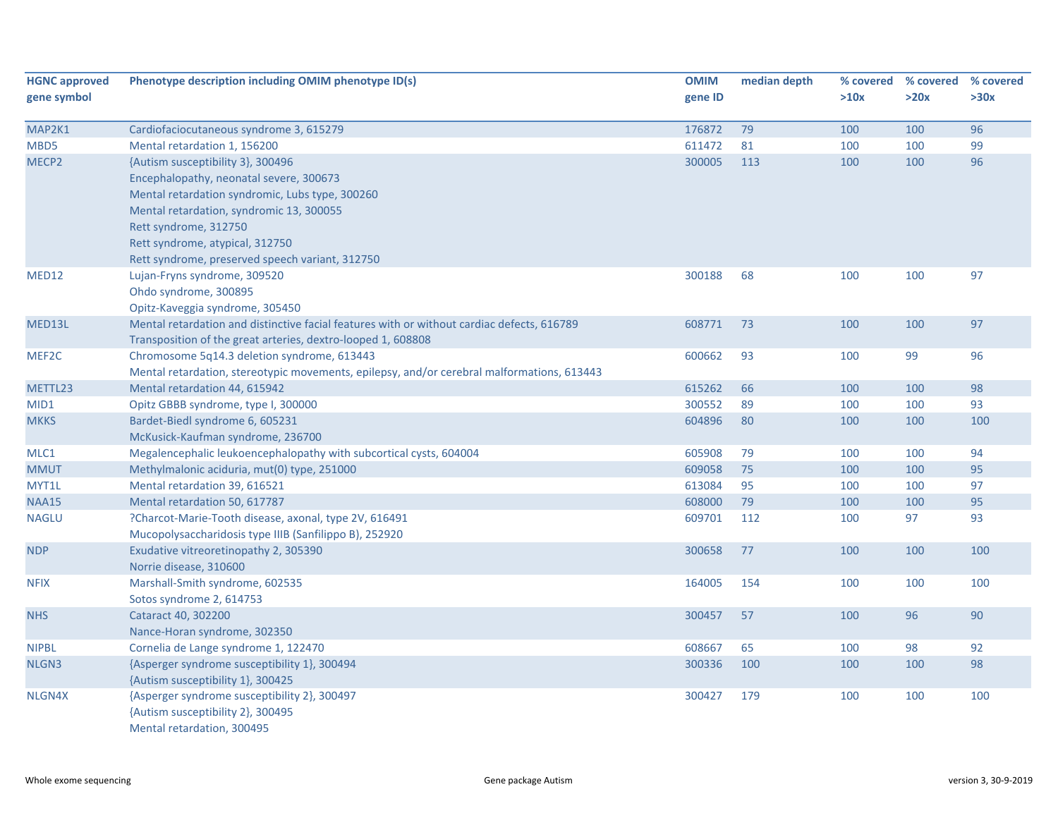| <b>HGNC approved</b><br>gene symbol | Phenotype description including OMIM phenotype ID(s)                                                            | <b>OMIM</b><br>gene ID | median depth | % covered<br>>10x | % covered<br>>20x | % covered<br>>30x |
|-------------------------------------|-----------------------------------------------------------------------------------------------------------------|------------------------|--------------|-------------------|-------------------|-------------------|
| MAP2K1                              | Cardiofaciocutaneous syndrome 3, 615279                                                                         | 176872                 | 79           | 100               | 100               | 96                |
| MBD5                                | Mental retardation 1, 156200                                                                                    | 611472                 | 81           | 100               | 100               | 99                |
| MECP <sub>2</sub>                   | {Autism susceptibility 3}, 300496                                                                               | 300005                 | 113          | 100               | 100               | 96                |
|                                     | Encephalopathy, neonatal severe, 300673                                                                         |                        |              |                   |                   |                   |
|                                     | Mental retardation syndromic, Lubs type, 300260                                                                 |                        |              |                   |                   |                   |
|                                     | Mental retardation, syndromic 13, 300055                                                                        |                        |              |                   |                   |                   |
|                                     | Rett syndrome, 312750                                                                                           |                        |              |                   |                   |                   |
|                                     | Rett syndrome, atypical, 312750                                                                                 |                        |              |                   |                   |                   |
|                                     | Rett syndrome, preserved speech variant, 312750                                                                 |                        |              |                   |                   |                   |
| MED12                               | Lujan-Fryns syndrome, 309520                                                                                    | 300188                 | 68           | 100               | 100               | 97                |
|                                     | Ohdo syndrome, 300895                                                                                           |                        |              |                   |                   |                   |
|                                     | Opitz-Kaveggia syndrome, 305450                                                                                 |                        |              |                   |                   |                   |
| MED13L                              | Mental retardation and distinctive facial features with or without cardiac defects, 616789                      | 608771                 | 73           | 100               | 100               | 97                |
|                                     | Transposition of the great arteries, dextro-looped 1, 608808                                                    |                        |              |                   |                   |                   |
| MEF2C                               | Chromosome 5q14.3 deletion syndrome, 613443                                                                     | 600662                 | 93           | 100               | 99                | 96                |
|                                     | Mental retardation, stereotypic movements, epilepsy, and/or cerebral malformations, 613443                      |                        |              |                   |                   |                   |
| METTL23                             | Mental retardation 44, 615942                                                                                   | 615262                 | 66           | 100               | 100               | 98                |
| MID1                                | Opitz GBBB syndrome, type I, 300000                                                                             | 300552                 | 89           | 100               | 100               | 93                |
| <b>MKKS</b>                         | Bardet-Biedl syndrome 6, 605231                                                                                 | 604896                 | 80           | 100               | 100               | 100               |
|                                     | McKusick-Kaufman syndrome, 236700                                                                               |                        |              |                   |                   |                   |
| MLC1                                | Megalencephalic leukoencephalopathy with subcortical cysts, 604004                                              | 605908                 | 79           | 100               | 100               | 94                |
| <b>MMUT</b>                         | Methylmalonic aciduria, mut(0) type, 251000                                                                     | 609058                 | 75           | 100               | 100               | 95                |
| MYT1L                               | Mental retardation 39, 616521                                                                                   | 613084                 | 95           | 100               | 100               | 97                |
| <b>NAA15</b>                        | Mental retardation 50, 617787                                                                                   | 608000                 | 79           | 100               | 100               | 95                |
| <b>NAGLU</b>                        | ?Charcot-Marie-Tooth disease, axonal, type 2V, 616491                                                           | 609701                 | 112          | 100               | 97                | 93                |
|                                     | Mucopolysaccharidosis type IIIB (Sanfilippo B), 252920                                                          |                        |              |                   |                   |                   |
| <b>NDP</b>                          | Exudative vitreoretinopathy 2, 305390                                                                           | 300658                 | 77           | 100               | 100               | 100               |
|                                     | Norrie disease, 310600                                                                                          |                        |              |                   |                   |                   |
| <b>NFIX</b>                         | Marshall-Smith syndrome, 602535                                                                                 | 164005                 | 154          | 100               | 100               | 100               |
|                                     | Sotos syndrome 2, 614753                                                                                        |                        |              |                   |                   |                   |
| <b>NHS</b>                          | Cataract 40, 302200                                                                                             | 300457                 | 57           | 100               | 96                | 90                |
|                                     | Nance-Horan syndrome, 302350                                                                                    |                        |              |                   |                   |                   |
| <b>NIPBL</b>                        | Cornelia de Lange syndrome 1, 122470                                                                            | 608667                 | 65           | 100               | 98                | 92                |
| NLGN3                               | {Asperger syndrome susceptibility 1}, 300494                                                                    | 300336                 | 100          | 100               | 100               | 98                |
|                                     | {Autism susceptibility 1}, 300425                                                                               |                        |              |                   |                   |                   |
| NLGN4X                              | {Asperger syndrome susceptibility 2}, 300497<br>{Autism susceptibility 2}, 300495<br>Mental retardation, 300495 | 300427                 | 179          | 100               | 100               | 100               |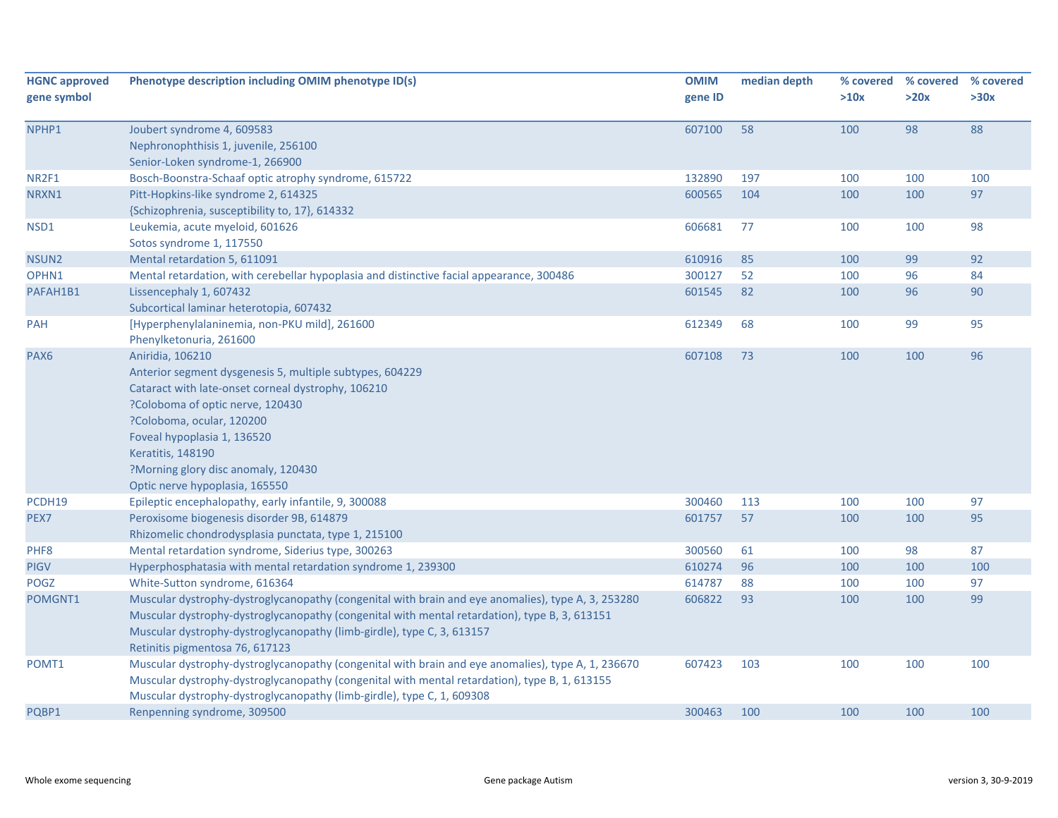| <b>HGNC approved</b><br>gene symbol | Phenotype description including OMIM phenotype ID(s)                                               | <b>OMIM</b><br>gene ID | median depth | >10x | % covered % covered<br>>20x | % covered<br>>30x |
|-------------------------------------|----------------------------------------------------------------------------------------------------|------------------------|--------------|------|-----------------------------|-------------------|
|                                     |                                                                                                    |                        |              |      |                             |                   |
| NPHP1                               | Joubert syndrome 4, 609583                                                                         | 607100                 | 58           | 100  | 98                          | 88                |
|                                     | Nephronophthisis 1, juvenile, 256100                                                               |                        |              |      |                             |                   |
|                                     | Senior-Loken syndrome-1, 266900                                                                    |                        |              |      |                             |                   |
| NR2F1                               | Bosch-Boonstra-Schaaf optic atrophy syndrome, 615722                                               | 132890                 | 197          | 100  | 100                         | 100               |
| NRXN1                               | Pitt-Hopkins-like syndrome 2, 614325                                                               | 600565                 | 104          | 100  | 100                         | 97                |
|                                     | {Schizophrenia, susceptibility to, 17}, 614332                                                     |                        |              |      |                             |                   |
| NSD1                                | Leukemia, acute myeloid, 601626                                                                    | 606681                 | 77           | 100  | 100                         | 98                |
|                                     | Sotos syndrome 1, 117550                                                                           |                        |              |      |                             |                   |
| NSUN2                               | Mental retardation 5, 611091                                                                       | 610916                 | 85           | 100  | 99                          | 92                |
| OPHN1                               | Mental retardation, with cerebellar hypoplasia and distinctive facial appearance, 300486           | 300127                 | 52           | 100  | 96                          | 84                |
| PAFAH1B1                            | Lissencephaly 1, 607432                                                                            | 601545                 | 82           | 100  | 96                          | 90                |
|                                     | Subcortical laminar heterotopia, 607432                                                            |                        |              |      |                             |                   |
| PAH                                 | [Hyperphenylalaninemia, non-PKU mild], 261600                                                      | 612349                 | 68           | 100  | 99                          | 95                |
|                                     | Phenylketonuria, 261600                                                                            |                        |              |      |                             |                   |
| PAX6                                | Aniridia, 106210                                                                                   | 607108                 | 73           | 100  | 100                         | 96                |
|                                     | Anterior segment dysgenesis 5, multiple subtypes, 604229                                           |                        |              |      |                             |                   |
|                                     | Cataract with late-onset corneal dystrophy, 106210                                                 |                        |              |      |                             |                   |
|                                     | ?Coloboma of optic nerve, 120430                                                                   |                        |              |      |                             |                   |
|                                     | ?Coloboma, ocular, 120200                                                                          |                        |              |      |                             |                   |
|                                     | Foveal hypoplasia 1, 136520                                                                        |                        |              |      |                             |                   |
|                                     | Keratitis, 148190                                                                                  |                        |              |      |                             |                   |
|                                     | ?Morning glory disc anomaly, 120430                                                                |                        |              |      |                             |                   |
|                                     | Optic nerve hypoplasia, 165550                                                                     |                        |              |      |                             |                   |
| PCDH19                              | Epileptic encephalopathy, early infantile, 9, 300088                                               | 300460                 | 113          | 100  | 100                         | 97                |
| PEX7                                | Peroxisome biogenesis disorder 9B, 614879                                                          | 601757                 | 57           | 100  | 100                         | 95                |
|                                     | Rhizomelic chondrodysplasia punctata, type 1, 215100                                               |                        |              |      |                             |                   |
| PHF8                                | Mental retardation syndrome, Siderius type, 300263                                                 | 300560                 | 61           | 100  | 98                          | 87                |
| <b>PIGV</b>                         | Hyperphosphatasia with mental retardation syndrome 1, 239300                                       | 610274                 | 96           | 100  | 100                         | 100               |
| <b>POGZ</b>                         | White-Sutton syndrome, 616364                                                                      | 614787                 | 88           | 100  | 100                         | 97                |
| POMGNT1                             | Muscular dystrophy-dystroglycanopathy (congenital with brain and eye anomalies), type A, 3, 253280 | 606822                 | 93           | 100  | 100                         | 99                |
|                                     | Muscular dystrophy-dystroglycanopathy (congenital with mental retardation), type B, 3, 613151      |                        |              |      |                             |                   |
|                                     | Muscular dystrophy-dystroglycanopathy (limb-girdle), type C, 3, 613157                             |                        |              |      |                             |                   |
|                                     | Retinitis pigmentosa 76, 617123                                                                    |                        |              |      |                             |                   |
| POMT1                               | Muscular dystrophy-dystroglycanopathy (congenital with brain and eye anomalies), type A, 1, 236670 | 607423                 | 103          | 100  | 100                         | 100               |
|                                     | Muscular dystrophy-dystroglycanopathy (congenital with mental retardation), type B, 1, 613155      |                        |              |      |                             |                   |
|                                     | Muscular dystrophy-dystroglycanopathy (limb-girdle), type C, 1, 609308                             |                        |              |      |                             |                   |
| PQBP1                               | Renpenning syndrome, 309500                                                                        | 300463                 | 100          | 100  | 100                         | 100               |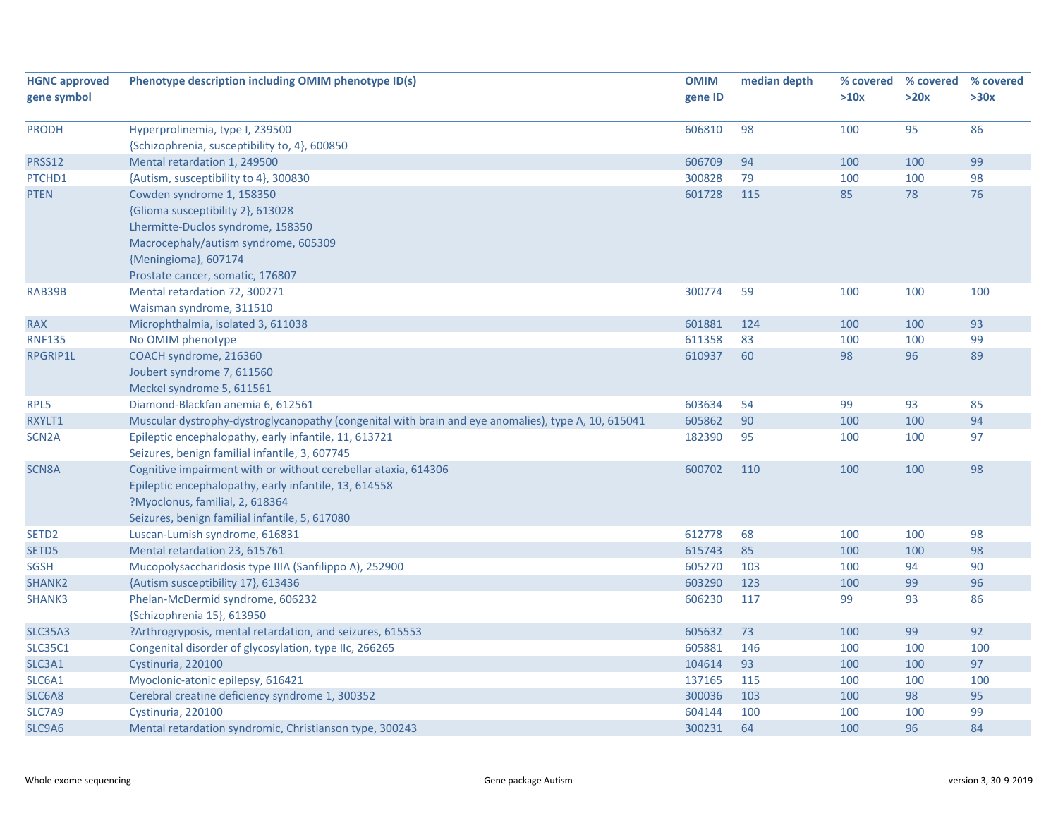| <b>HGNC approved</b> | Phenotype description including OMIM phenotype ID(s)                                                | <b>OMIM</b> | median depth | % covered | % covered | % covered |
|----------------------|-----------------------------------------------------------------------------------------------------|-------------|--------------|-----------|-----------|-----------|
| gene symbol          |                                                                                                     | gene ID     |              | >10x      | >20x      | >30x      |
| <b>PRODH</b>         | Hyperprolinemia, type I, 239500                                                                     | 606810      | 98           | 100       | 95        | 86        |
|                      | {Schizophrenia, susceptibility to, 4}, 600850                                                       |             |              |           |           |           |
| <b>PRSS12</b>        | Mental retardation 1, 249500                                                                        | 606709      | 94           | 100       | 100       | 99        |
| PTCHD1               | {Autism, susceptibility to 4}, 300830                                                               | 300828      | 79           | 100       | 100       | 98        |
| <b>PTEN</b>          | Cowden syndrome 1, 158350                                                                           | 601728      | 115          | 85        | 78        | 76        |
|                      | {Glioma susceptibility 2}, 613028                                                                   |             |              |           |           |           |
|                      | Lhermitte-Duclos syndrome, 158350                                                                   |             |              |           |           |           |
|                      | Macrocephaly/autism syndrome, 605309                                                                |             |              |           |           |           |
|                      | {Meningioma}, 607174                                                                                |             |              |           |           |           |
|                      | Prostate cancer, somatic, 176807                                                                    |             |              |           |           |           |
| RAB39B               | Mental retardation 72, 300271                                                                       | 300774      | 59           | 100       | 100       | 100       |
|                      | Waisman syndrome, 311510                                                                            |             |              |           |           |           |
| <b>RAX</b>           | Microphthalmia, isolated 3, 611038                                                                  | 601881      | 124          | 100       | 100       | 93        |
| <b>RNF135</b>        | No OMIM phenotype                                                                                   | 611358      | 83           | 100       | 100       | 99        |
| RPGRIP1L             | COACH syndrome, 216360                                                                              | 610937      | 60           | 98        | 96        | 89        |
|                      | Joubert syndrome 7, 611560                                                                          |             |              |           |           |           |
|                      | Meckel syndrome 5, 611561                                                                           |             |              |           |           |           |
| RPL5                 | Diamond-Blackfan anemia 6, 612561                                                                   | 603634      | 54           | 99        | 93        | 85        |
| RXYLT1               | Muscular dystrophy-dystroglycanopathy (congenital with brain and eye anomalies), type A, 10, 615041 | 605862      | 90           | 100       | 100       | 94        |
| SCN <sub>2</sub> A   | Epileptic encephalopathy, early infantile, 11, 613721                                               | 182390      | 95           | 100       | 100       | 97        |
|                      | Seizures, benign familial infantile, 3, 607745                                                      |             |              |           |           |           |
| <b>SCN8A</b>         | Cognitive impairment with or without cerebellar ataxia, 614306                                      | 600702      | 110          | 100       | 100       | 98        |
|                      | Epileptic encephalopathy, early infantile, 13, 614558                                               |             |              |           |           |           |
|                      | ?Myoclonus, familial, 2, 618364                                                                     |             |              |           |           |           |
|                      | Seizures, benign familial infantile, 5, 617080                                                      |             |              |           |           |           |
| SETD <sub>2</sub>    | Luscan-Lumish syndrome, 616831                                                                      | 612778      | 68           | 100       | 100       | 98        |
| SETD5                | Mental retardation 23, 615761                                                                       | 615743      | 85           | 100       | 100       | 98        |
| SGSH                 | Mucopolysaccharidosis type IIIA (Sanfilippo A), 252900                                              | 605270      | 103          | 100       | 94        | 90        |
| SHANK <sub>2</sub>   | {Autism susceptibility 17}, 613436                                                                  | 603290      | 123          | 100       | 99        | 96        |
| SHANK3               | Phelan-McDermid syndrome, 606232                                                                    | 606230      | 117          | 99        | 93        | 86        |
|                      | {Schizophrenia 15}, 613950                                                                          |             |              |           |           |           |
| <b>SLC35A3</b>       | ?Arthrogryposis, mental retardation, and seizures, 615553                                           | 605632      | 73           | 100       | 99        | 92        |
| <b>SLC35C1</b>       | Congenital disorder of glycosylation, type IIc, 266265                                              | 605881      | 146          | 100       | 100       | 100       |
| SLC3A1               | Cystinuria, 220100                                                                                  | 104614      | 93           | 100       | 100       | 97        |
| SLC6A1               | Myoclonic-atonic epilepsy, 616421                                                                   | 137165      | 115          | 100       | 100       | 100       |
| SLC6A8               | Cerebral creatine deficiency syndrome 1, 300352                                                     | 300036      | 103          | 100       | 98        | 95        |
| SLC7A9               | Cystinuria, 220100                                                                                  | 604144      | 100          | 100       | 100       | 99        |
| SLC9A6               | Mental retardation syndromic, Christianson type, 300243                                             | 300231      | 64           | 100       | 96        | 84        |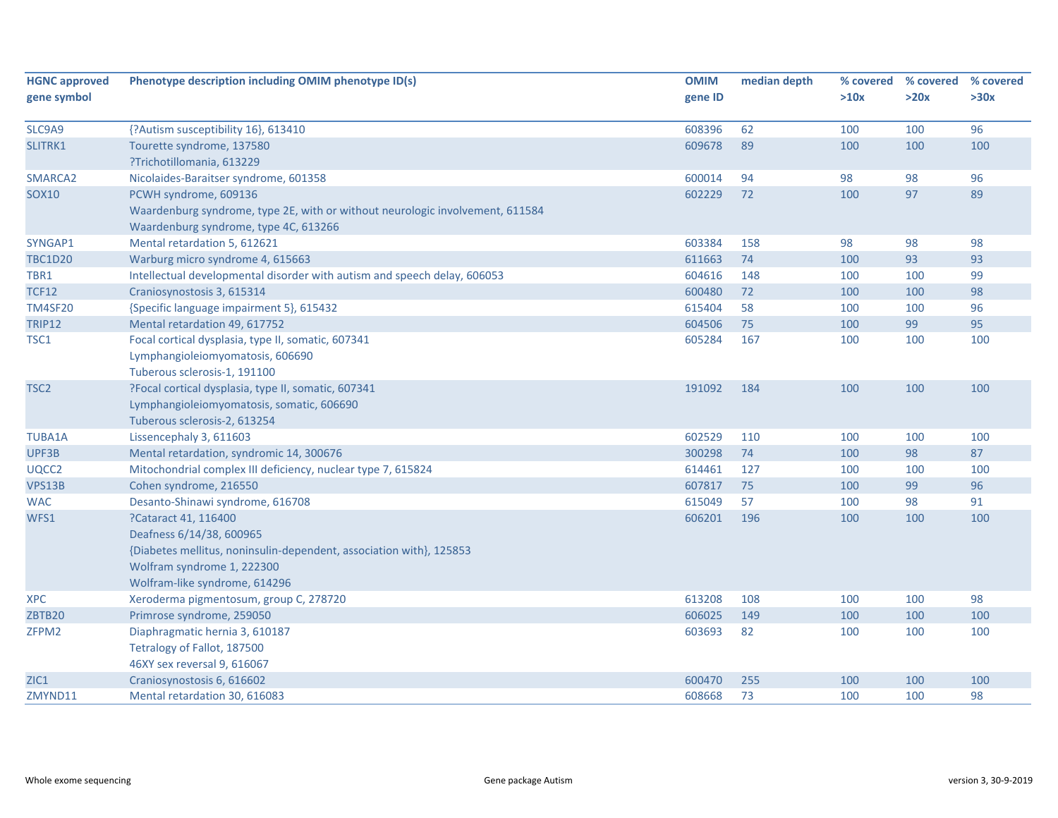| <b>HGNC approved</b> | Phenotype description including OMIM phenotype ID(s)                          | <b>OMIM</b> | median depth |      | % covered % covered | % covered |
|----------------------|-------------------------------------------------------------------------------|-------------|--------------|------|---------------------|-----------|
| gene symbol          |                                                                               | gene ID     |              | >10x | >20x                | >30x      |
|                      |                                                                               |             |              |      |                     |           |
| SLC9A9               | {?Autism susceptibility 16}, 613410                                           | 608396      | 62           | 100  | 100                 | 96        |
| SLITRK1              | Tourette syndrome, 137580                                                     | 609678      | 89           | 100  | 100                 | 100       |
|                      | ?Trichotillomania, 613229                                                     |             |              |      |                     |           |
| SMARCA2              | Nicolaides-Baraitser syndrome, 601358                                         | 600014      | 94           | 98   | 98                  | 96        |
| <b>SOX10</b>         | PCWH syndrome, 609136                                                         | 602229      | 72           | 100  | 97                  | 89        |
|                      | Waardenburg syndrome, type 2E, with or without neurologic involvement, 611584 |             |              |      |                     |           |
|                      | Waardenburg syndrome, type 4C, 613266                                         |             |              |      |                     |           |
| SYNGAP1              | Mental retardation 5, 612621                                                  | 603384      | 158          | 98   | 98                  | 98        |
| <b>TBC1D20</b>       | Warburg micro syndrome 4, 615663                                              | 611663      | 74           | 100  | 93                  | 93        |
| TBR1                 | Intellectual developmental disorder with autism and speech delay, 606053      | 604616      | 148          | 100  | 100                 | 99        |
| <b>TCF12</b>         | Craniosynostosis 3, 615314                                                    | 600480      | 72           | 100  | 100                 | 98        |
| <b>TM4SF20</b>       | {Specific language impairment 5}, 615432                                      | 615404      | 58           | 100  | 100                 | 96        |
| <b>TRIP12</b>        | Mental retardation 49, 617752                                                 | 604506      | 75           | 100  | 99                  | 95        |
| TSC1                 | Focal cortical dysplasia, type II, somatic, 607341                            | 605284      | 167          | 100  | 100                 | 100       |
|                      | Lymphangioleiomyomatosis, 606690                                              |             |              |      |                     |           |
|                      | Tuberous sclerosis-1, 191100                                                  |             |              |      |                     |           |
| TSC <sub>2</sub>     | ?Focal cortical dysplasia, type II, somatic, 607341                           | 191092      | 184          | 100  | 100                 | 100       |
|                      | Lymphangioleiomyomatosis, somatic, 606690                                     |             |              |      |                     |           |
|                      | Tuberous sclerosis-2, 613254                                                  |             |              |      |                     |           |
| <b>TUBA1A</b>        | Lissencephaly 3, 611603                                                       | 602529      | 110          | 100  | 100                 | 100       |
| UPF3B                | Mental retardation, syndromic 14, 300676                                      | 300298      | 74           | 100  | 98                  | 87        |
| UQCC2                | Mitochondrial complex III deficiency, nuclear type 7, 615824                  | 614461      | 127          | 100  | 100                 | 100       |
| VPS13B               | Cohen syndrome, 216550                                                        | 607817      | 75           | 100  | 99                  | 96        |
| <b>WAC</b>           | Desanto-Shinawi syndrome, 616708                                              | 615049      | 57           | 100  | 98                  | 91        |
| WFS1                 | ?Cataract 41, 116400                                                          | 606201      | 196          | 100  | 100                 | 100       |
|                      | Deafness 6/14/38, 600965                                                      |             |              |      |                     |           |
|                      | {Diabetes mellitus, noninsulin-dependent, association with}, 125853           |             |              |      |                     |           |
|                      | Wolfram syndrome 1, 222300                                                    |             |              |      |                     |           |
|                      | Wolfram-like syndrome, 614296                                                 |             |              |      |                     |           |
| <b>XPC</b>           | Xeroderma pigmentosum, group C, 278720                                        | 613208      | 108          | 100  | 100                 | 98        |
| ZBTB20               | Primrose syndrome, 259050                                                     | 606025      | 149          | 100  | 100                 | 100       |
| ZFPM2                | Diaphragmatic hernia 3, 610187                                                | 603693      | 82           | 100  | 100                 | 100       |
|                      | Tetralogy of Fallot, 187500                                                   |             |              |      |                     |           |
|                      | 46XY sex reversal 9, 616067                                                   |             |              |      |                     |           |
| ZIC1                 | Craniosynostosis 6, 616602                                                    | 600470      | 255          | 100  | 100                 | 100       |
| ZMYND11              | Mental retardation 30, 616083                                                 | 608668      | 73           | 100  | 100                 | 98        |